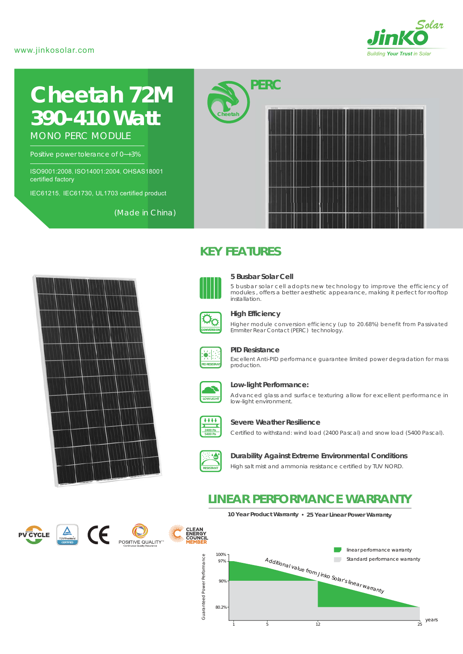# www.jinkosolar.com



# **Cheetah 72M** *390-410 Watt*

MONO PERC MODULE

Positive power tolerance of 0~+3%

ISO9001:2008, ISO14001:2004, OHSAS18001 certified factory

IEC61215, IEC61730, UL1703 certified product

(Made in China)





**Cheetah**



#### **5 Busbar Solar Cell**

*PERC*

5 busbar solar cell adopts new technology to improve the efficiency of modules , offers a better aesthetic appearance, making it perfect for rooftop installation.



# **High Efficiency**

Higher module conversion efficiency (up to 20.68%) benefit from Passivated Emmiter Rear Contact (PERC) technology.



#### **PID Resistance**

Excellent Anti-PID performance guarantee limited power degradation for mass production.



#### **Low-light Performance:**

Advanced glass and surface texturing allow for excellent performance in low-light environment.



#### **Severe Weather Resilience**

Certified to withstand: wind load (2400 Pascal) and snow load (5400 Pascal).



#### **Durability Against Extreme Environmental Conditions**

High salt mist and ammonia resistance certified by TUV NORD.

# **LINEAR PERFORMANCE WARRANTY**

**10 Year Product Warranty 25 Year Linear Power Warranty**